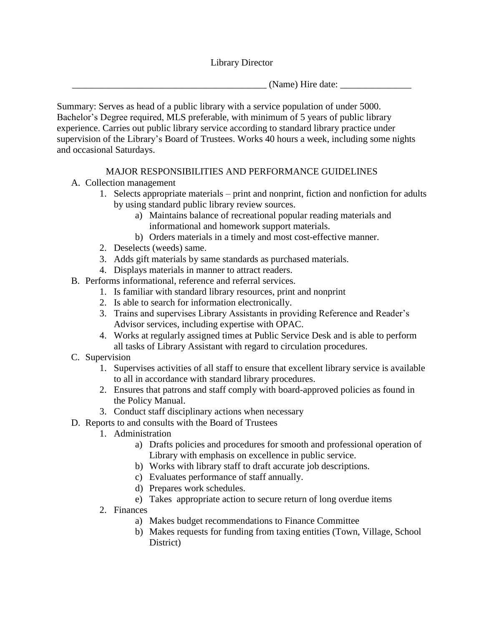Library Director

 $\Box$  (Name) Hire date:  $\Box$ 

Summary: Serves as head of a public library with a service population of under 5000. Bachelor's Degree required, MLS preferable, with minimum of 5 years of public library experience. Carries out public library service according to standard library practice under supervision of the Library's Board of Trustees. Works 40 hours a week, including some nights and occasional Saturdays.

# MAJOR RESPONSIBILITIES AND PERFORMANCE GUIDELINES

- A. Collection management
	- 1. Selects appropriate materials print and nonprint, fiction and nonfiction for adults by using standard public library review sources.
		- a) Maintains balance of recreational popular reading materials and informational and homework support materials.
		- b) Orders materials in a timely and most cost-effective manner.
	- 2. Deselects (weeds) same.
	- 3. Adds gift materials by same standards as purchased materials.
	- 4. Displays materials in manner to attract readers.
- B. Performs informational, reference and referral services.
	- 1. Is familiar with standard library resources, print and nonprint
	- 2. Is able to search for information electronically.
	- 3. Trains and supervises Library Assistants in providing Reference and Reader's Advisor services, including expertise with OPAC.
	- 4. Works at regularly assigned times at Public Service Desk and is able to perform all tasks of Library Assistant with regard to circulation procedures.
- C. Supervision
	- 1. Supervises activities of all staff to ensure that excellent library service is available to all in accordance with standard library procedures.
	- 2. Ensures that patrons and staff comply with board-approved policies as found in the Policy Manual.
	- 3. Conduct staff disciplinary actions when necessary
- D. Reports to and consults with the Board of Trustees
	- 1. Administration
		- a) Drafts policies and procedures for smooth and professional operation of Library with emphasis on excellence in public service.
		- b) Works with library staff to draft accurate job descriptions.
		- c) Evaluates performance of staff annually.
		- d) Prepares work schedules.
		- e) Takes appropriate action to secure return of long overdue items
	- 2. Finances
		- a) Makes budget recommendations to Finance Committee
		- b) Makes requests for funding from taxing entities (Town, Village, School District)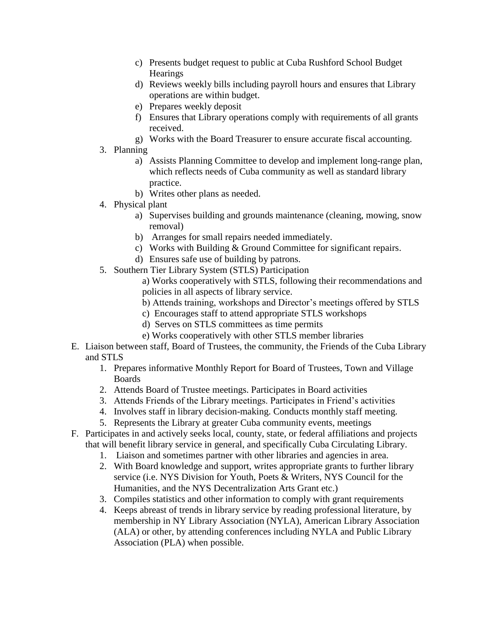- c) Presents budget request to public at Cuba Rushford School Budget **Hearings**
- d) Reviews weekly bills including payroll hours and ensures that Library operations are within budget.
- e) Prepares weekly deposit
- f) Ensures that Library operations comply with requirements of all grants received.
- g) Works with the Board Treasurer to ensure accurate fiscal accounting.
- 3. Planning
	- a) Assists Planning Committee to develop and implement long-range plan, which reflects needs of Cuba community as well as standard library practice.
	- b) Writes other plans as needed.
- 4. Physical plant
	- a) Supervises building and grounds maintenance (cleaning, mowing, snow removal)
	- b) Arranges for small repairs needed immediately.
	- c) Works with Building & Ground Committee for significant repairs.
	- d) Ensures safe use of building by patrons.
- 5. Southern Tier Library System (STLS) Participation

a) Works cooperatively with STLS, following their recommendations and policies in all aspects of library service.

- b) Attends training, workshops and Director's meetings offered by STLS
- c) Encourages staff to attend appropriate STLS workshops
- d) Serves on STLS committees as time permits
- e) Works cooperatively with other STLS member libraries
- E. Liaison between staff, Board of Trustees, the community, the Friends of the Cuba Library and STLS
	- 1. Prepares informative Monthly Report for Board of Trustees, Town and Village Boards
	- 2. Attends Board of Trustee meetings. Participates in Board activities
	- 3. Attends Friends of the Library meetings. Participates in Friend's activities
	- 4. Involves staff in library decision-making. Conducts monthly staff meeting.
	- 5. Represents the Library at greater Cuba community events, meetings
- F. Participates in and actively seeks local, county, state, or federal affiliations and projects that will benefit library service in general, and specifically Cuba Circulating Library.
	- 1. Liaison and sometimes partner with other libraries and agencies in area.
	- 2. With Board knowledge and support, writes appropriate grants to further library service (i.e. NYS Division for Youth, Poets & Writers, NYS Council for the Humanities, and the NYS Decentralization Arts Grant etc.)
	- 3. Compiles statistics and other information to comply with grant requirements
	- 4. Keeps abreast of trends in library service by reading professional literature, by membership in NY Library Association (NYLA), American Library Association (ALA) or other, by attending conferences including NYLA and Public Library Association (PLA) when possible.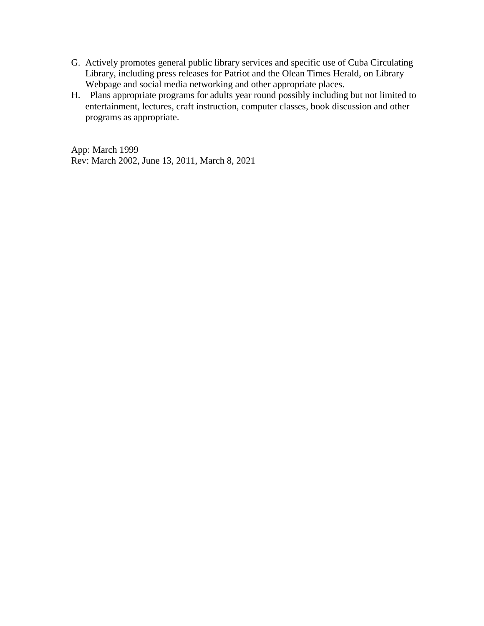- G. Actively promotes general public library services and specific use of Cuba Circulating Library, including press releases for Patriot and the Olean Times Herald, on Library Webpage and social media networking and other appropriate places.
- H. Plans appropriate programs for adults year round possibly including but not limited to entertainment, lectures, craft instruction, computer classes, book discussion and other programs as appropriate.

App: March 1999 Rev: March 2002, June 13, 2011, March 8, 2021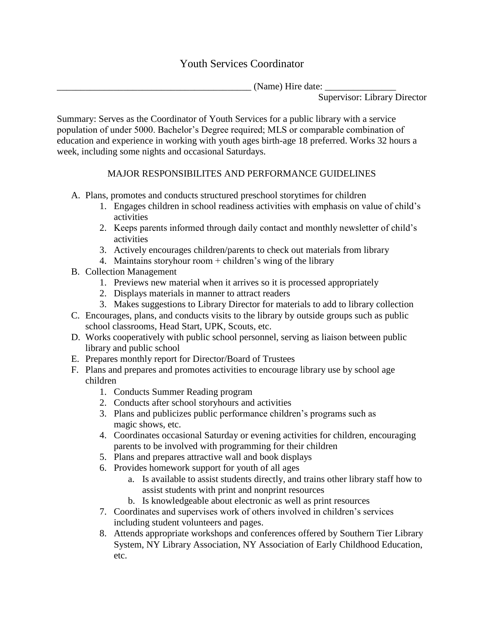# Youth Services Coordinator

\_\_\_\_\_\_\_\_\_\_\_\_\_\_\_\_\_\_\_\_\_\_\_\_\_\_\_\_\_\_\_\_\_\_\_\_\_\_\_\_\_ (Name) Hire date: \_\_\_\_\_\_\_\_\_\_\_\_\_\_\_

Supervisor: Library Director

Summary: Serves as the Coordinator of Youth Services for a public library with a service population of under 5000. Bachelor's Degree required; MLS or comparable combination of education and experience in working with youth ages birth-age 18 preferred. Works 32 hours a week, including some nights and occasional Saturdays.

# MAJOR RESPONSIBILITES AND PERFORMANCE GUIDELINES

- A. Plans, promotes and conducts structured preschool storytimes for children
	- 1. Engages children in school readiness activities with emphasis on value of child's activities
	- 2. Keeps parents informed through daily contact and monthly newsletter of child's activities
	- 3. Actively encourages children/parents to check out materials from library
	- 4. Maintains storyhour room + children's wing of the library
- B. Collection Management
	- 1. Previews new material when it arrives so it is processed appropriately
	- 2. Displays materials in manner to attract readers
	- 3. Makes suggestions to Library Director for materials to add to library collection
- C. Encourages, plans, and conducts visits to the library by outside groups such as public school classrooms, Head Start, UPK, Scouts, etc.
- D. Works cooperatively with public school personnel, serving as liaison between public library and public school
- E. Prepares monthly report for Director/Board of Trustees
- F. Plans and prepares and promotes activities to encourage library use by school age children
	- 1. Conducts Summer Reading program
	- 2. Conducts after school storyhours and activities
	- 3. Plans and publicizes public performance children's programs such as magic shows, etc.
	- 4. Coordinates occasional Saturday or evening activities for children, encouraging parents to be involved with programming for their children
	- 5. Plans and prepares attractive wall and book displays
	- 6. Provides homework support for youth of all ages
		- a. Is available to assist students directly, and trains other library staff how to assist students with print and nonprint resources
		- b. Is knowledgeable about electronic as well as print resources
	- 7. Coordinates and supervises work of others involved in children's services including student volunteers and pages.
	- 8. Attends appropriate workshops and conferences offered by Southern Tier Library System, NY Library Association, NY Association of Early Childhood Education, etc.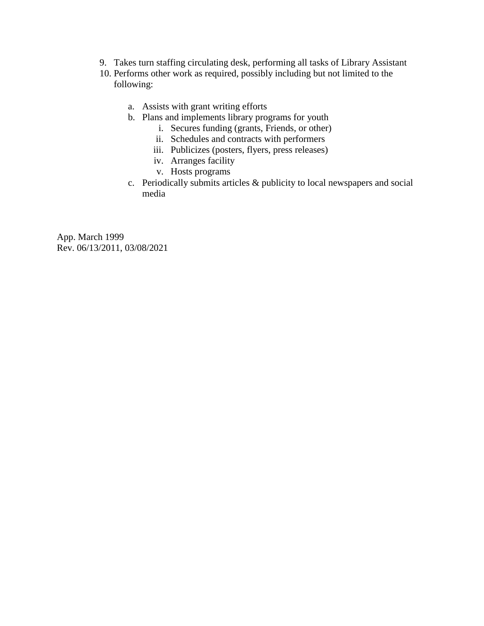- 9. Takes turn staffing circulating desk, performing all tasks of Library Assistant
- 10. Performs other work as required, possibly including but not limited to the following:
	- a. Assists with grant writing efforts
	- b. Plans and implements library programs for youth
		- i. Secures funding (grants, Friends, or other)
		- ii. Schedules and contracts with performers
		- iii. Publicizes (posters, flyers, press releases)
		- iv. Arranges facility
		- v. Hosts programs
	- c. Periodically submits articles & publicity to local newspapers and social media

App. March 1999 Rev. 06/13/2011, 03/08/2021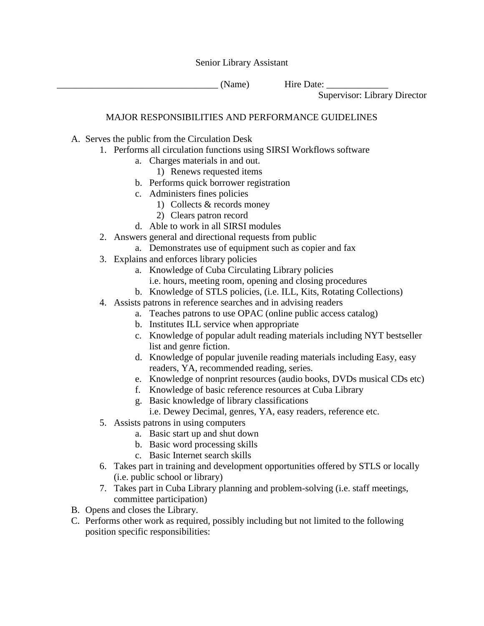Senior Library Assistant

(Name) Hire Date:

Supervisor: Library Director

# MAJOR RESPONSIBILITIES AND PERFORMANCE GUIDELINES

- A. Serves the public from the Circulation Desk
	- 1. Performs all circulation functions using SIRSI Workflows software
		- a. Charges materials in and out.
			- 1) Renews requested items
		- b. Performs quick borrower registration
		- c. Administers fines policies
			- 1) Collects & records money
			- 2) Clears patron record
		- d. Able to work in all SIRSI modules
	- 2. Answers general and directional requests from public
		- a. Demonstrates use of equipment such as copier and fax
	- 3. Explains and enforces library policies
		- a. Knowledge of Cuba Circulating Library policies
			- i.e. hours, meeting room, opening and closing procedures
		- b. Knowledge of STLS policies, (i.e. ILL, Kits, Rotating Collections)
	- 4. Assists patrons in reference searches and in advising readers
		- a. Teaches patrons to use OPAC (online public access catalog)
		- b. Institutes ILL service when appropriate
		- c. Knowledge of popular adult reading materials including NYT bestseller list and genre fiction.
		- d. Knowledge of popular juvenile reading materials including Easy, easy readers, YA, recommended reading, series.
		- e. Knowledge of nonprint resources (audio books, DVDs musical CDs etc)
		- f. Knowledge of basic reference resources at Cuba Library
		- g. Basic knowledge of library classifications
			- i.e. Dewey Decimal, genres, YA, easy readers, reference etc.
	- 5. Assists patrons in using computers
		- a. Basic start up and shut down
		- b. Basic word processing skills
		- c. Basic Internet search skills
	- 6. Takes part in training and development opportunities offered by STLS or locally (i.e. public school or library)
	- 7. Takes part in Cuba Library planning and problem-solving (i.e. staff meetings, committee participation)
- B. Opens and closes the Library.
- C. Performs other work as required, possibly including but not limited to the following position specific responsibilities: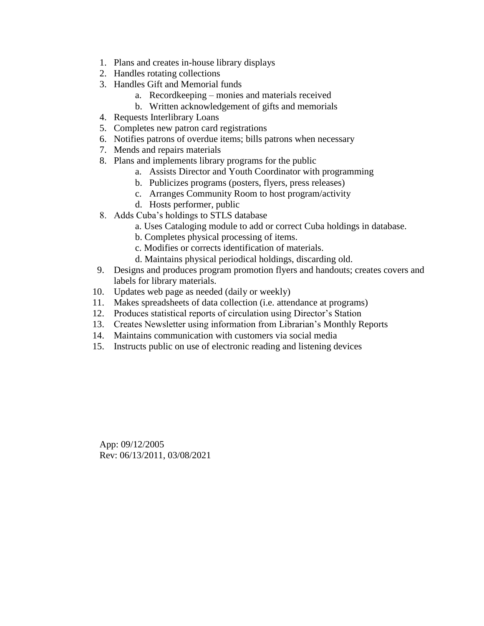- 1. Plans and creates in-house library displays
- 2. Handles rotating collections
- 3. Handles Gift and Memorial funds
	- a. Recordkeeping monies and materials received
	- b. Written acknowledgement of gifts and memorials
- 4. Requests Interlibrary Loans
- 5. Completes new patron card registrations
- 6. Notifies patrons of overdue items; bills patrons when necessary
- 7. Mends and repairs materials
- 8. Plans and implements library programs for the public
	- a. Assists Director and Youth Coordinator with programming
	- b. Publicizes programs (posters, flyers, press releases)
	- c. Arranges Community Room to host program/activity
	- d. Hosts performer, public
- 8. Adds Cuba's holdings to STLS database
	- a. Uses Cataloging module to add or correct Cuba holdings in database.
	- b. Completes physical processing of items.
	- c. Modifies or corrects identification of materials.
	- d. Maintains physical periodical holdings, discarding old.
- 9. Designs and produces program promotion flyers and handouts; creates covers and labels for library materials.
- 10. Updates web page as needed (daily or weekly)
- 11. Makes spreadsheets of data collection (i.e. attendance at programs)
- 12. Produces statistical reports of circulation using Director's Station
- 13. Creates Newsletter using information from Librarian's Monthly Reports
- 14. Maintains communication with customers via social media
- 15. Instructs public on use of electronic reading and listening devices

App: 09/12/2005 Rev: 06/13/2011, 03/08/2021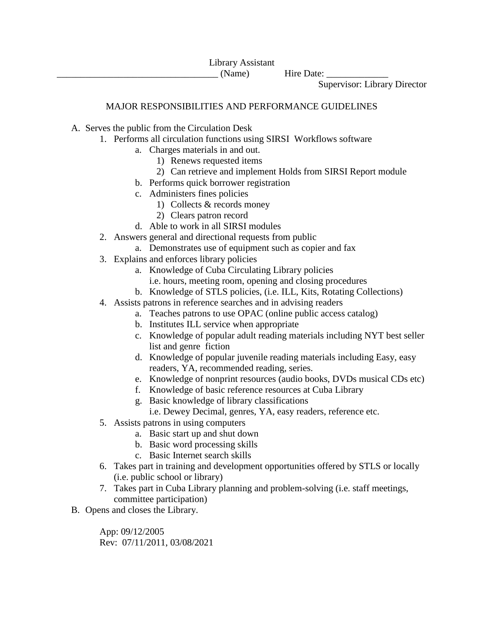Supervisor: Library Director

# MAJOR RESPONSIBILITIES AND PERFORMANCE GUIDELINES

- A. Serves the public from the Circulation Desk
	- 1. Performs all circulation functions using SIRSI Workflows software
		- a. Charges materials in and out.
			- 1) Renews requested items
			- 2) Can retrieve and implement Holds from SIRSI Report module
		- b. Performs quick borrower registration
		- c. Administers fines policies
			- 1) Collects & records money
			- 2) Clears patron record
		- d. Able to work in all SIRSI modules
	- 2. Answers general and directional requests from public
		- a. Demonstrates use of equipment such as copier and fax
	- 3. Explains and enforces library policies
		- a. Knowledge of Cuba Circulating Library policies
			- i.e. hours, meeting room, opening and closing procedures
		- b. Knowledge of STLS policies, (i.e. ILL, Kits, Rotating Collections)
	- 4. Assists patrons in reference searches and in advising readers
		- a. Teaches patrons to use OPAC (online public access catalog)
		- b. Institutes ILL service when appropriate
		- c. Knowledge of popular adult reading materials including NYT best seller list and genre fiction
		- d. Knowledge of popular juvenile reading materials including Easy, easy readers, YA, recommended reading, series.
		- e. Knowledge of nonprint resources (audio books, DVDs musical CDs etc)
		- f. Knowledge of basic reference resources at Cuba Library
		- g. Basic knowledge of library classifications

i.e. Dewey Decimal, genres, YA, easy readers, reference etc.

- 5. Assists patrons in using computers
	- a. Basic start up and shut down
	- b. Basic word processing skills
	- c. Basic Internet search skills
- 6. Takes part in training and development opportunities offered by STLS or locally (i.e. public school or library)
- 7. Takes part in Cuba Library planning and problem-solving (i.e. staff meetings, committee participation)
- B. Opens and closes the Library.

App: 09/12/2005 Rev: 07/11/2011, 03/08/2021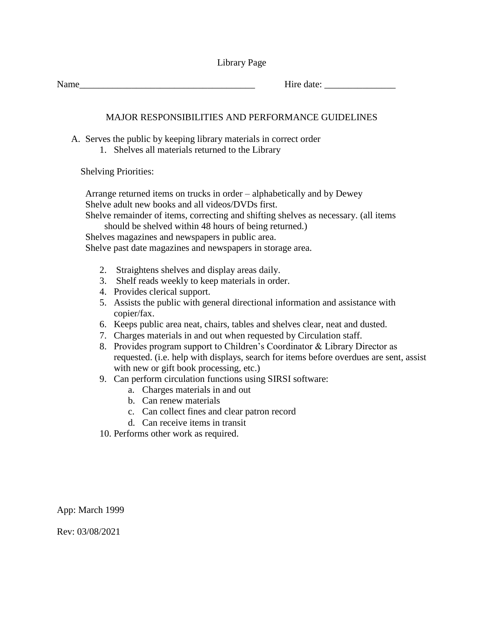| Library Page |  |
|--------------|--|
|--------------|--|

Name Hire date:

# MAJOR RESPONSIBILITIES AND PERFORMANCE GUIDELINES

A. Serves the public by keeping library materials in correct order

1. Shelves all materials returned to the Library

Shelving Priorities:

Arrange returned items on trucks in order – alphabetically and by Dewey Shelve adult new books and all videos/DVDs first.

Shelve remainder of items, correcting and shifting shelves as necessary. (all items should be shelved within 48 hours of being returned.)

Shelves magazines and newspapers in public area.

Shelve past date magazines and newspapers in storage area.

- 2. Straightens shelves and display areas daily.
- 3. Shelf reads weekly to keep materials in order.
- 4. Provides clerical support.
- 5. Assists the public with general directional information and assistance with copier/fax.
- 6. Keeps public area neat, chairs, tables and shelves clear, neat and dusted.
- 7. Charges materials in and out when requested by Circulation staff.
- 8. Provides program support to Children's Coordinator & Library Director as requested. (i.e. help with displays, search for items before overdues are sent, assist with new or gift book processing, etc.)
- 9. Can perform circulation functions using SIRSI software:
	- a. Charges materials in and out
	- b. Can renew materials
	- c. Can collect fines and clear patron record
	- d. Can receive items in transit
- 10. Performs other work as required.

App: March 1999

Rev: 03/08/2021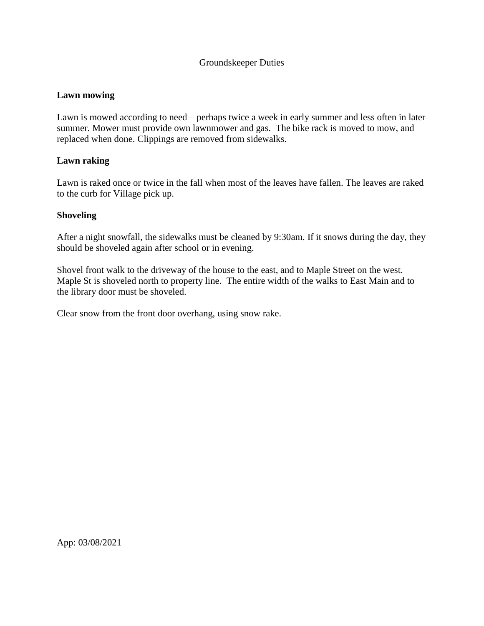# Groundskeeper Duties

### **Lawn mowing**

Lawn is mowed according to need – perhaps twice a week in early summer and less often in later summer. Mower must provide own lawnmower and gas. The bike rack is moved to mow, and replaced when done. Clippings are removed from sidewalks.

### **Lawn raking**

Lawn is raked once or twice in the fall when most of the leaves have fallen. The leaves are raked to the curb for Village pick up.

#### **Shoveling**

After a night snowfall, the sidewalks must be cleaned by 9:30am. If it snows during the day, they should be shoveled again after school or in evening.

Shovel front walk to the driveway of the house to the east, and to Maple Street on the west. Maple St is shoveled north to property line. The entire width of the walks to East Main and to the library door must be shoveled.

Clear snow from the front door overhang, using snow rake.

App: 03/08/2021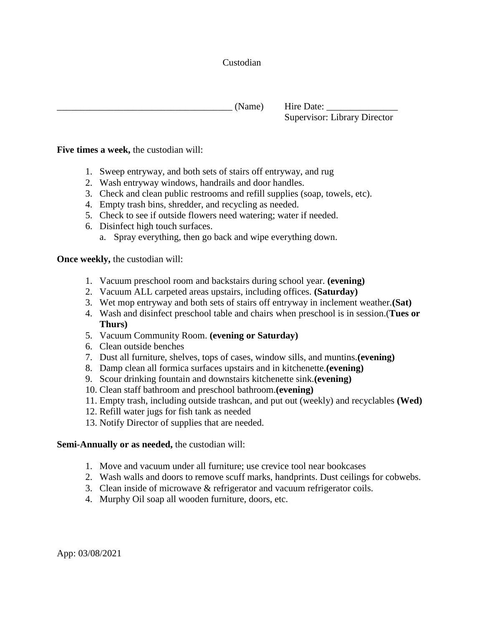# Custodian

 $(Name)$  Hire Date: Supervisor: Library Director

### **Five times a week,** the custodian will:

- 1. Sweep entryway, and both sets of stairs off entryway, and rug
- 2. Wash entryway windows, handrails and door handles.
- 3. Check and clean public restrooms and refill supplies (soap, towels, etc).
- 4. Empty trash bins, shredder, and recycling as needed.
- 5. Check to see if outside flowers need watering; water if needed.
- 6. Disinfect high touch surfaces.
	- a. Spray everything, then go back and wipe everything down.

**Once weekly,** the custodian will:

- 1. Vacuum preschool room and backstairs during school year. **(evening)**
- 2. Vacuum ALL carpeted areas upstairs, including offices. **(Saturday)**
- 3. Wet mop entryway and both sets of stairs off entryway in inclement weather.**(Sat)**
- 4. Wash and disinfect preschool table and chairs when preschool is in session.(**Tues or Thurs)**
- 5. Vacuum Community Room. **(evening or Saturday)**
- 6. Clean outside benches
- 7. Dust all furniture, shelves, tops of cases, window sills, and muntins.**(evening)**
- 8. Damp clean all formica surfaces upstairs and in kitchenette.**(evening)**
- 9. Scour drinking fountain and downstairs kitchenette sink.**(evening)**
- 10. Clean staff bathroom and preschool bathroom.**(evening)**
- 11. Empty trash, including outside trashcan, and put out (weekly) and recyclables **(Wed)**
- 12. Refill water jugs for fish tank as needed
- 13. Notify Director of supplies that are needed.

#### **Semi-Annually or as needed,** the custodian will:

- 1. Move and vacuum under all furniture; use crevice tool near bookcases
- 2. Wash walls and doors to remove scuff marks, handprints. Dust ceilings for cobwebs.
- 3. Clean inside of microwave & refrigerator and vacuum refrigerator coils.
- 4. Murphy Oil soap all wooden furniture, doors, etc.

App: 03/08/2021